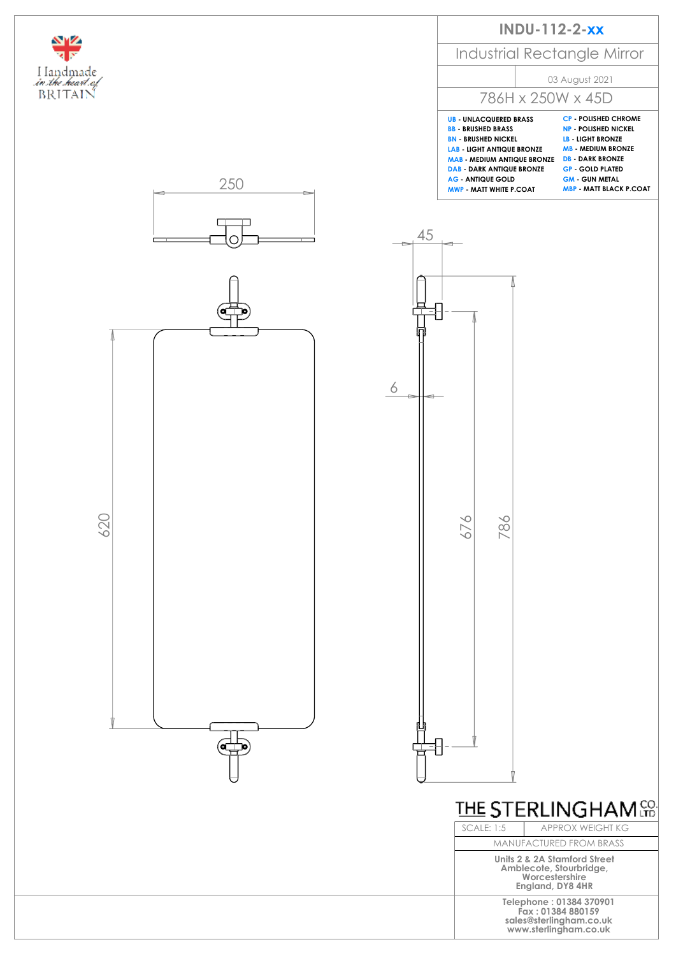